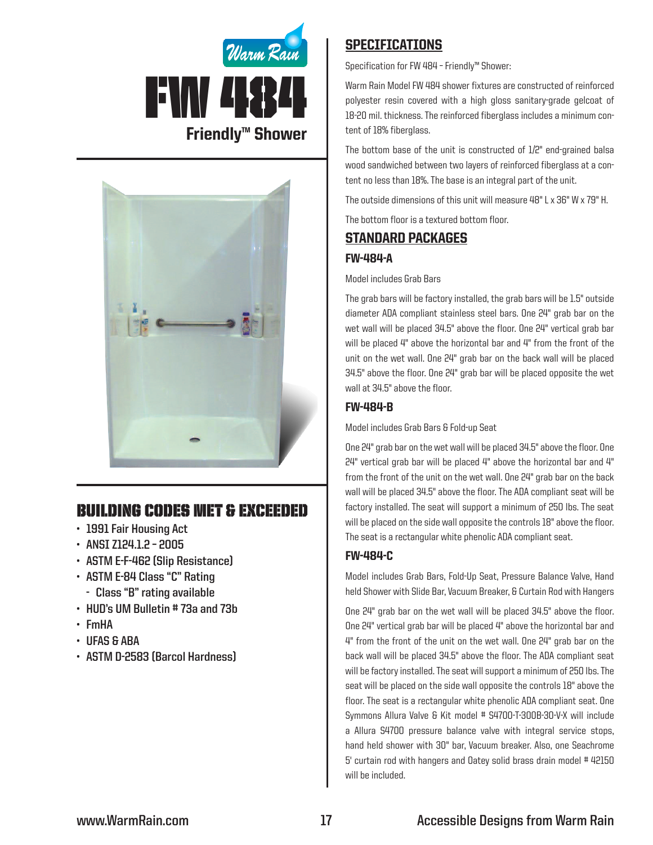



# Building Codes Met & EXCEEDED

- **• 1991 Fair Housing Act**
- **• ANSI Z124.1.2 – 2005**
- **• ASTM E-F-462 (Slip Resistance)**
- **• ASTM E-84 Class "C" Rating**
	- **- Class "B" rating available**
- **• HUD's UM Bulletin # 73a and 73b**
- **• FmHA**
- **• UFAS & ABA**
- **• ASTM D-2583 (Barcol Hardness)**

## **SPECIFICATIONS**

Specification for FW 484 – Friendly™ Shower:

Warm Rain Model FW 484 shower fixtures are constructed of reinforced polyester resin covered with a high gloss sanitary-grade gelcoat of 18-20 mil. thickness. The reinforced fiberglass includes a minimum content of 18% fiberglass.

The bottom base of the unit is constructed of 1/2" end-grained balsa wood sandwiched between two layers of reinforced fiberglass at a content no less than 18%. The base is an integral part of the unit.

The outside dimensions of this unit will measure 48" L x 36" W x 79" H.

The bottom floor is a textured bottom floor.

# Standard packages

#### FW-484-A

Model includes Grab Bars

The grab bars will be factory installed, the grab bars will be 1.5" outside diameter ADA compliant stainless steel bars. One 24" grab bar on the wet wall will be placed 34.5" above the floor. One 24" vertical grab bar will be placed 4" above the horizontal bar and 4" from the front of the unit on the wet wall. One 24" grab bar on the back wall will be placed 34.5" above the floor. One 24" grab bar will be placed opposite the wet wall at 34.5" above the floor.

### FW-484-B

Model includes Grab Bars & Fold-up Seat

One 24" grab bar on the wet wall will be placed 34.5" above the floor. One 24" vertical grab bar will be placed 4" above the horizontal bar and 4" from the front of the unit on the wet wall. One 24" grab bar on the back wall will be placed 34.5" above the floor. The ADA compliant seat will be factory installed. The seat will support a minimum of 250 lbs. The seat will be placed on the side wall opposite the controls 18" above the floor. The seat is a rectangular white phenolic ADA compliant seat.

#### FW-484-C

Model includes Grab Bars, Fold-Up Seat, Pressure Balance Valve, Hand held Shower with Slide Bar, Vacuum Breaker, & Curtain Rod with Hangers

One 24" grab bar on the wet wall will be placed 34.5" above the floor. One 24" vertical grab bar will be placed 4" above the horizontal bar and 4" from the front of the unit on the wet wall. One 24" grab bar on the back wall will be placed 34.5" above the floor. The ADA compliant seat will be factory installed. The seat will support a minimum of 250 lbs. The seat will be placed on the side wall opposite the controls 18" above the floor. The seat is a rectangular white phenolic ADA compliant seat. One Symmons Allura Valve & Kit model # S4700-T-300B-30-V-X will include a Allura S4700 pressure balance valve with integral service stops, hand held shower with 30" bar, Vacuum breaker. Also, one Seachrome 5' curtain rod with hangers and Oatey solid brass drain model #42150 will be included.